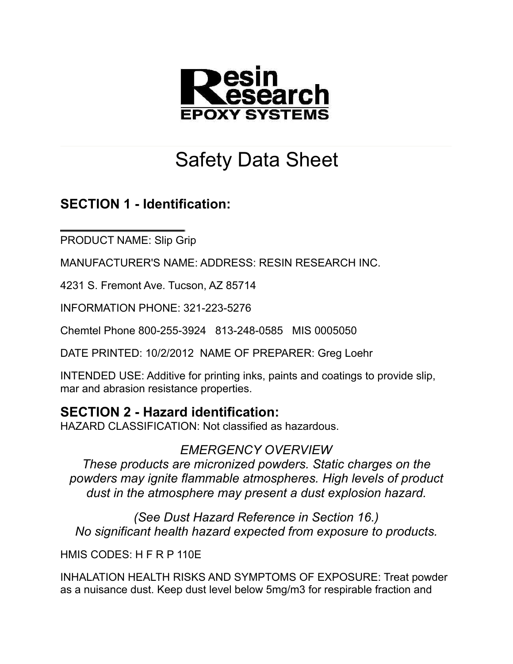

# Safety Data Sheet

## **SECTION 1 - Identification:**

PRODUCT NAME: Slip Grip

MANUFACTURER'S NAME: ADDRESS: RESIN RESEARCH INC.

4231 S. Fremont Ave. Tucson, AZ 85714

INFORMATION PHONE: 321-223-5276

Chemtel Phone 800-255-3924 813-248-0585 MIS 0005050

DATE PRINTED: 10/2/2012 NAME OF PREPARER: Greg Loehr

INTENDED USE: Additive for printing inks, paints and coatings to provide slip, mar and abrasion resistance properties.

#### **SECTION 2 - Hazard identification:**

HAZARD CLASSIFICATION: Not classified as hazardous.

#### *EMERGENCY OVERVIEW*

*These products are micronized powders. Static charges on the powders may ignite flammable atmospheres. High levels of product dust in the atmosphere may present a dust explosion hazard.*

*(See Dust Hazard Reference in Section 16.) No significant health hazard expected from exposure to products.*

HMIS CODES: H F R P 110E

INHALATION HEALTH RISKS AND SYMPTOMS OF EXPOSURE: Treat powder as a nuisance dust. Keep dust level below 5mg/m3 for respirable fraction and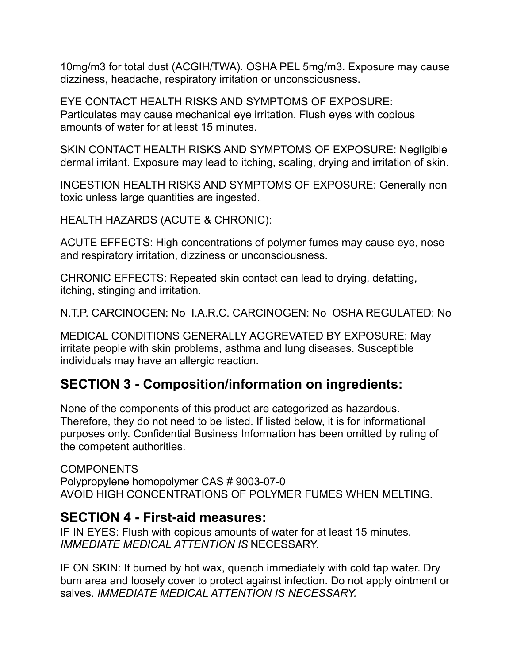10mg/m3 for total dust (ACGIH/TWA). OSHA PEL 5mg/m3. Exposure may cause dizziness, headache, respiratory irritation or unconsciousness.

EYE CONTACT HEALTH RISKS AND SYMPTOMS OF EXPOSURE: Particulates may cause mechanical eye irritation. Flush eyes with copious amounts of water for at least 15 minutes.

SKIN CONTACT HEALTH RISKS AND SYMPTOMS OF EXPOSURE: Negligible dermal irritant. Exposure may lead to itching, scaling, drying and irritation of skin.

INGESTION HEALTH RISKS AND SYMPTOMS OF EXPOSURE: Generally non toxic unless large quantities are ingested.

HEALTH HAZARDS (ACUTE & CHRONIC):

ACUTE EFFECTS: High concentrations of polymer fumes may cause eye, nose and respiratory irritation, dizziness or unconsciousness.

CHRONIC EFFECTS: Repeated skin contact can lead to drying, defatting, itching, stinging and irritation.

N.T.P. CARCINOGEN: No I.A.R.C. CARCINOGEN: No OSHA REGULATED: No

MEDICAL CONDITIONS GENERALLY AGGREVATED BY EXPOSURE: May irritate people with skin problems, asthma and lung diseases. Susceptible individuals may have an allergic reaction.

# **SECTION 3 - Composition/information on ingredients:**

None of the components of this product are categorized as hazardous. Therefore, they do not need to be listed. If listed below, it is for informational purposes only. Confidential Business Information has been omitted by ruling of the competent authorities.

COMPONENTS Polypropylene homopolymer CAS # 9003-07-0 AVOID HIGH CONCENTRATIONS OF POLYMER FUMES WHEN MELTING.

#### **SECTION 4 - First-aid measures:**

IF IN EYES: Flush with copious amounts of water for at least 15 minutes. *IMMEDIATE MEDICAL ATTENTION IS* NECESSARY.

IF ON SKIN: If burned by hot wax, quench immediately with cold tap water. Dry burn area and loosely cover to protect against infection. Do not apply ointment or salves. *IMMEDIATE MEDICAL ATTENTION IS NECESSARY.*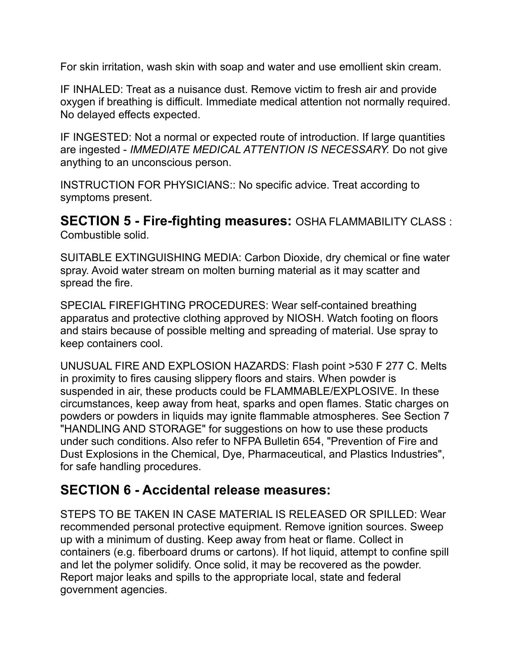For skin irritation, wash skin with soap and water and use emollient skin cream.

IF INHALED: Treat as a nuisance dust. Remove victim to fresh air and provide oxygen if breathing is difficult. Immediate medical attention not normally required. No delayed effects expected.

IF INGESTED: Not a normal or expected route of introduction. If large quantities are ingested - *IMMEDIATE MEDICAL ATTENTION IS NECESSARY.* Do not give anything to an unconscious person.

INSTRUCTION FOR PHYSICIANS:: No specific advice. Treat according to symptoms present.

**SECTION 5 - Fire-fighting measures:** OSHA FLAMMABILITY CLASS : Combustible solid.

SUITABLE EXTINGUISHING MEDIA: Carbon Dioxide, dry chemical or fine water spray. Avoid water stream on molten burning material as it may scatter and spread the fire.

SPECIAL FIREFIGHTING PROCEDURES: Wear self-contained breathing apparatus and protective clothing approved by NIOSH. Watch footing on floors and stairs because of possible melting and spreading of material. Use spray to keep containers cool.

UNUSUAL FIRE AND EXPLOSION HAZARDS: Flash point >530 F 277 C. Melts in proximity to fires causing slippery floors and stairs. When powder is suspended in air, these products could be FLAMMABLE/EXPLOSIVE. In these circumstances, keep away from heat, sparks and open flames. Static charges on powders or powders in liquids may ignite flammable atmospheres. See Section 7 "HANDLING AND STORAGE" for suggestions on how to use these products under such conditions. Also refer to NFPA Bulletin 654, "Prevention of Fire and Dust Explosions in the Chemical, Dye, Pharmaceutical, and Plastics Industries", for safe handling procedures.

#### **SECTION 6 - Accidental release measures:**

STEPS TO BE TAKEN IN CASE MATERIAL IS RELEASED OR SPILLED: Wear recommended personal protective equipment. Remove ignition sources. Sweep up with a minimum of dusting. Keep away from heat or flame. Collect in containers (e.g. fiberboard drums or cartons). If hot liquid, attempt to confine spill and let the polymer solidify. Once solid, it may be recovered as the powder. Report major leaks and spills to the appropriate local, state and federal government agencies.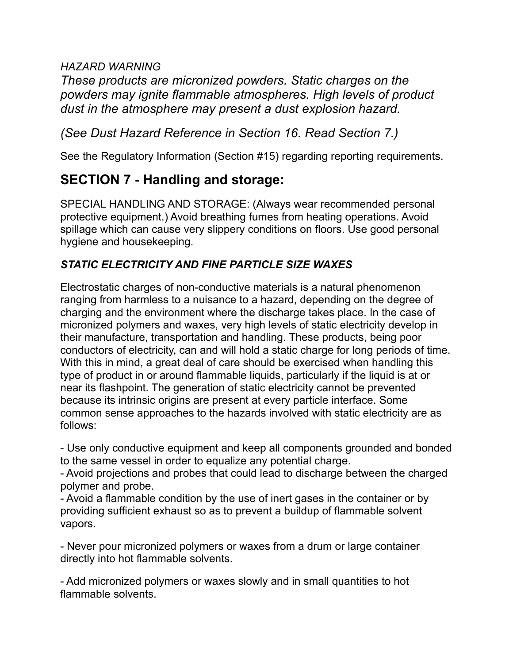#### *HAZARD WARNING*

*These products are micronized powders. Static charges on the powders may ignite flammable atmospheres. High levels of product dust in the atmosphere may present a dust explosion hazard.*

#### *(See Dust Hazard Reference in Section 16. Read Section 7.)*

See the Regulatory Information (Section #15) regarding reporting requirements.

# **SECTION 7 - Handling and storage:**

SPECIAL HANDLING AND STORAGE: (Always wear recommended personal protective equipment.) Avoid breathing fumes from heating operations. Avoid spillage which can cause very slippery conditions on floors. Use good personal hygiene and housekeeping.

#### *STATIC ELECTRICITY AND FINE PARTICLE SIZE WAXES*

Electrostatic charges of non-conductive materials is a natural phenomenon ranging from harmless to a nuisance to a hazard, depending on the degree of charging and the environment where the discharge takes place. In the case of micronized polymers and waxes, very high levels of static electricity develop in their manufacture, transportation and handling. These products, being poor conductors of electricity, can and will hold a static charge for long periods of time. With this in mind, a great deal of care should be exercised when handling this type of product in or around flammable liquids, particularly if the liquid is at or near its flashpoint. The generation of static electricity cannot be prevented because its intrinsic origins are present at every particle interface. Some common sense approaches to the hazards involved with static electricity are as follows:

- Use only conductive equipment and keep all components grounded and bonded to the same vessel in order to equalize any potential charge.

- Avoid projections and probes that could lead to discharge between the charged polymer and probe.

- Avoid a flammable condition by the use of inert gases in the container or by providing sufficient exhaust so as to prevent a buildup of flammable solvent vapors.

- Never pour micronized polymers or waxes from a drum or large container directly into hot flammable solvents.

- Add micronized polymers or waxes slowly and in small quantities to hot flammable solvents.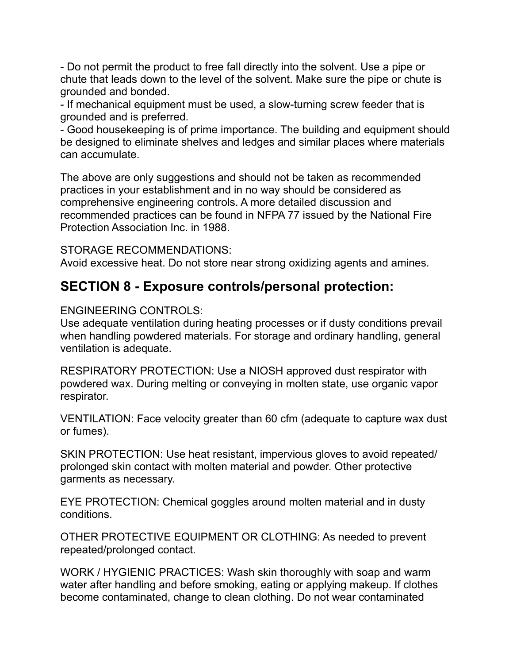- Do not permit the product to free fall directly into the solvent. Use a pipe or chute that leads down to the level of the solvent. Make sure the pipe or chute is grounded and bonded.

- If mechanical equipment must be used, a slow-turning screw feeder that is grounded and is preferred.

- Good housekeeping is of prime importance. The building and equipment should be designed to eliminate shelves and ledges and similar places where materials can accumulate.

The above are only suggestions and should not be taken as recommended practices in your establishment and in no way should be considered as comprehensive engineering controls. A more detailed discussion and recommended practices can be found in NFPA 77 issued by the National Fire Protection Association Inc. in 1988.

STORAGE RECOMMENDATIONS:

Avoid excessive heat. Do not store near strong oxidizing agents and amines.

#### **SECTION 8 - Exposure controls/personal protection:**

#### ENGINEERING CONTROLS:

Use adequate ventilation during heating processes or if dusty conditions prevail when handling powdered materials. For storage and ordinary handling, general ventilation is adequate.

RESPIRATORY PROTECTION: Use a NIOSH approved dust respirator with powdered wax. During melting or conveying in molten state, use organic vapor respirator.

VENTILATION: Face velocity greater than 60 cfm (adequate to capture wax dust or fumes).

SKIN PROTECTION: Use heat resistant, impervious gloves to avoid repeated/ prolonged skin contact with molten material and powder. Other protective garments as necessary.

EYE PROTECTION: Chemical goggles around molten material and in dusty conditions.

OTHER PROTECTIVE EQUIPMENT OR CLOTHING: As needed to prevent repeated/prolonged contact.

WORK / HYGIENIC PRACTICES: Wash skin thoroughly with soap and warm water after handling and before smoking, eating or applying makeup. If clothes become contaminated, change to clean clothing. Do not wear contaminated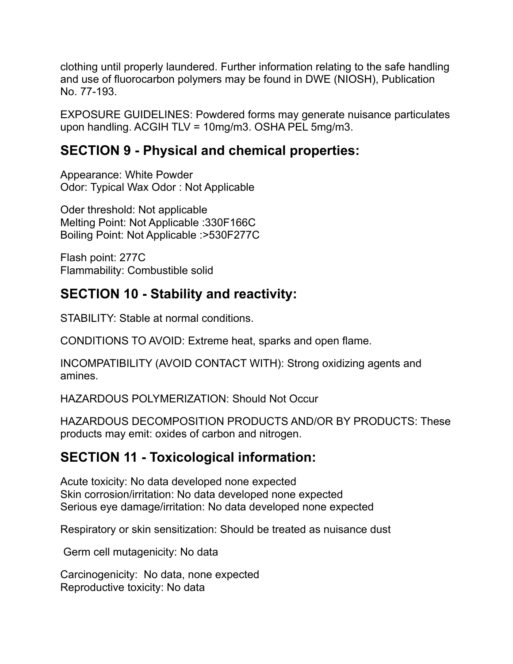clothing until properly laundered. Further information relating to the safe handling and use of fluorocarbon polymers may be found in DWE (NIOSH), Publication No. 77-193.

EXPOSURE GUIDELINES: Powdered forms may generate nuisance particulates upon handling. ACGIH TLV = 10mg/m3. OSHA PEL 5mg/m3.

## **SECTION 9 - Physical and chemical properties:**

Appearance: White Powder Odor: Typical Wax Odor : Not Applicable

Oder threshold: Not applicable Melting Point: Not Applicable :330F166C Boiling Point: Not Applicable :>530F277C

Flash point: 277C Flammability: Combustible solid

## **SECTION 10 - Stability and reactivity:**

STABILITY: Stable at normal conditions.

CONDITIONS TO AVOID: Extreme heat, sparks and open flame.

INCOMPATIBILITY (AVOID CONTACT WITH): Strong oxidizing agents and amines.

HAZARDOUS POLYMERIZATION: Should Not Occur

HAZARDOUS DECOMPOSITION PRODUCTS AND/OR BY PRODUCTS: These products may emit: oxides of carbon and nitrogen.

## **SECTION 11 - Toxicological information:**

Acute toxicity: No data developed none expected Skin corrosion/irritation: No data developed none expected Serious eye damage/irritation: No data developed none expected

Respiratory or skin sensitization: Should be treated as nuisance dust

Germ cell mutagenicity: No data

Carcinogenicity: No data, none expected Reproductive toxicity: No data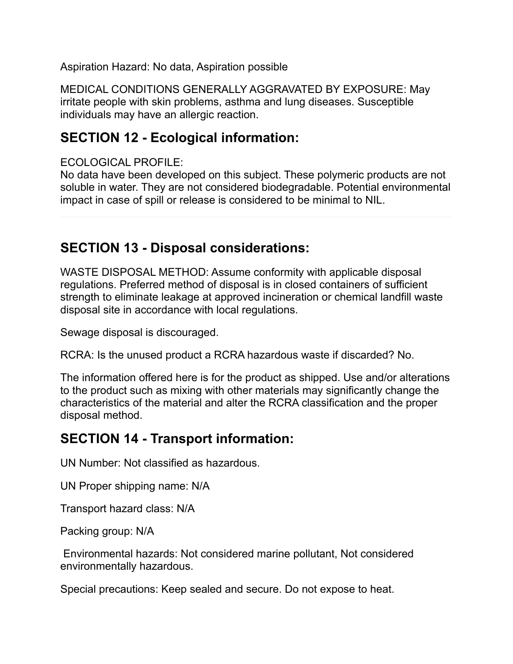Aspiration Hazard: No data, Aspiration possible

MEDICAL CONDITIONS GENERALLY AGGRAVATED BY EXPOSURE: May irritate people with skin problems, asthma and lung diseases. Susceptible individuals may have an allergic reaction.

#### **SECTION 12 - Ecological information:**

ECOLOGICAL PROFILE:

No data have been developed on this subject. These polymeric products are not soluble in water. They are not considered biodegradable. Potential environmental impact in case of spill or release is considered to be minimal to NIL.

#### **SECTION 13 - Disposal considerations:**

WASTE DISPOSAL METHOD: Assume conformity with applicable disposal regulations. Preferred method of disposal is in closed containers of sufficient strength to eliminate leakage at approved incineration or chemical landfill waste disposal site in accordance with local regulations.

Sewage disposal is discouraged.

RCRA: Is the unused product a RCRA hazardous waste if discarded? No.

The information offered here is for the product as shipped. Use and/or alterations to the product such as mixing with other materials may significantly change the characteristics of the material and alter the RCRA classification and the proper disposal method.

# **SECTION 14 - Transport information:**

UN Number: Not classified as hazardous.

UN Proper shipping name: N/A

Transport hazard class: N/A

Packing group: N/A

 Environmental hazards: Not considered marine pollutant, Not considered environmentally hazardous.

Special precautions: Keep sealed and secure. Do not expose to heat.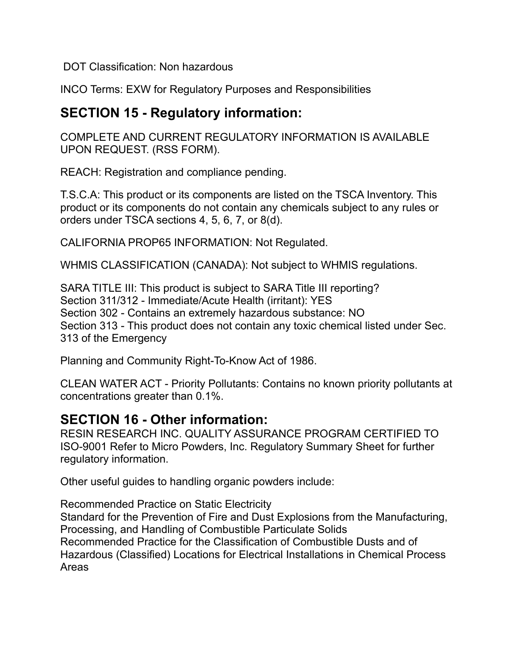DOT Classification: Non hazardous

INCO Terms: EXW for Regulatory Purposes and Responsibilities

## **SECTION 15 - Regulatory information:**

COMPLETE AND CURRENT REGULATORY INFORMATION IS AVAILABLE UPON REQUEST. (RSS FORM).

REACH: Registration and compliance pending.

T.S.C.A: This product or its components are listed on the TSCA Inventory. This product or its components do not contain any chemicals subject to any rules or orders under TSCA sections 4, 5, 6, 7, or 8(d).

CALIFORNIA PROP65 INFORMATION: Not Regulated.

WHMIS CLASSIFICATION (CANADA): Not subject to WHMIS regulations.

SARA TITLE III: This product is subject to SARA Title III reporting? Section 311/312 - Immediate/Acute Health (irritant): YES Section 302 - Contains an extremely hazardous substance: NO Section 313 - This product does not contain any toxic chemical listed under Sec. 313 of the Emergency

Planning and Community Right-To-Know Act of 1986.

CLEAN WATER ACT - Priority Pollutants: Contains no known priority pollutants at concentrations greater than 0.1%.

## **SECTION 16 - Other information:**

RESIN RESEARCH INC. QUALITY ASSURANCE PROGRAM CERTIFIED TO ISO-9001 Refer to Micro Powders, Inc. Regulatory Summary Sheet for further regulatory information.

Other useful guides to handling organic powders include:

Recommended Practice on Static Electricity Standard for the Prevention of Fire and Dust Explosions from the Manufacturing, Processing, and Handling of Combustible Particulate Solids Recommended Practice for the Classification of Combustible Dusts and of Hazardous (Classified) Locations for Electrical Installations in Chemical Process Areas